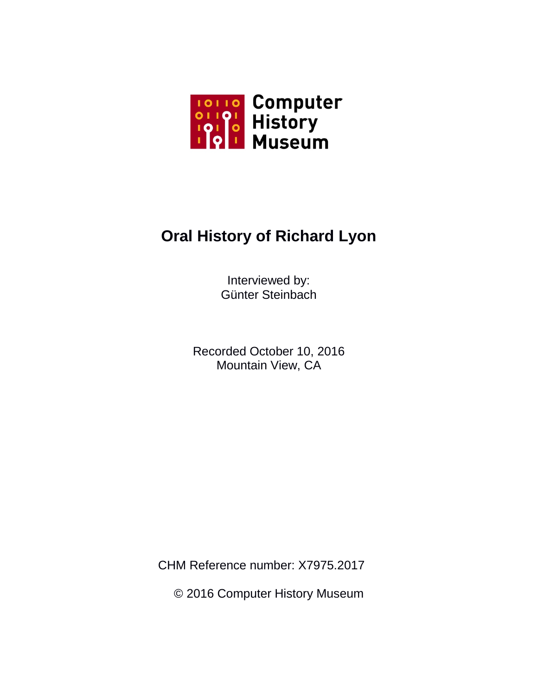

# **Oral History of Richard Lyon**

Interviewed by: Günter Steinbach

Recorded October 10, 2016 Mountain View, CA

CHM Reference number: X7975.2017

© 2016 Computer History Museum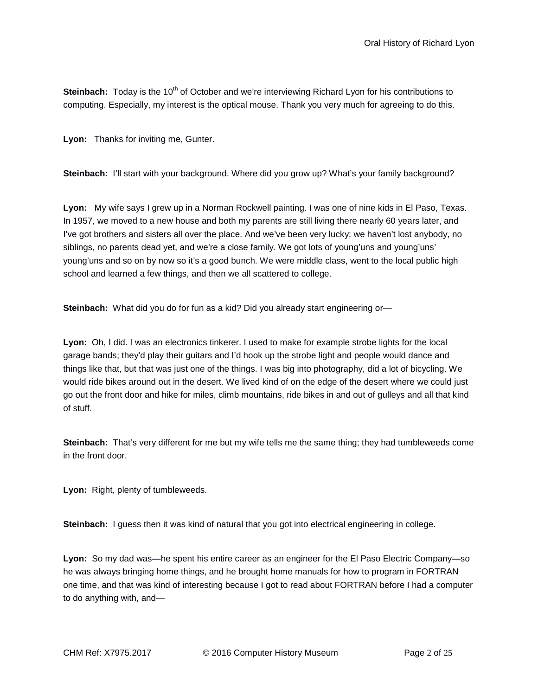Steinbach: Today is the 10<sup>th</sup> of October and we're interviewing Richard Lyon for his contributions to computing. Especially, my interest is the optical mouse. Thank you very much for agreeing to do this.

**Lyon:** Thanks for inviting me, Gunter.

**Steinbach:** I'll start with your background. Where did you grow up? What's your family background?

**Lyon:** My wife says I grew up in a Norman Rockwell painting. I was one of nine kids in El Paso, Texas. In 1957, we moved to a new house and both my parents are still living there nearly 60 years later, and I've got brothers and sisters all over the place. And we've been very lucky; we haven't lost anybody, no siblings, no parents dead yet, and we're a close family. We got lots of young'uns and young'uns' young'uns and so on by now so it's a good bunch. We were middle class, went to the local public high school and learned a few things, and then we all scattered to college.

**Steinbach:** What did you do for fun as a kid? Did you already start engineering or—

**Lyon:** Oh, I did. I was an electronics tinkerer. I used to make for example strobe lights for the local garage bands; they'd play their guitars and I'd hook up the strobe light and people would dance and things like that, but that was just one of the things. I was big into photography, did a lot of bicycling. We would ride bikes around out in the desert. We lived kind of on the edge of the desert where we could just go out the front door and hike for miles, climb mountains, ride bikes in and out of gulleys and all that kind of stuff.

**Steinbach:** That's very different for me but my wife tells me the same thing; they had tumbleweeds come in the front door.

**Lyon:** Right, plenty of tumbleweeds.

**Steinbach:** I guess then it was kind of natural that you got into electrical engineering in college.

**Lyon:** So my dad was—he spent his entire career as an engineer for the El Paso Electric Company—so he was always bringing home things, and he brought home manuals for how to program in FORTRAN one time, and that was kind of interesting because I got to read about FORTRAN before I had a computer to do anything with, and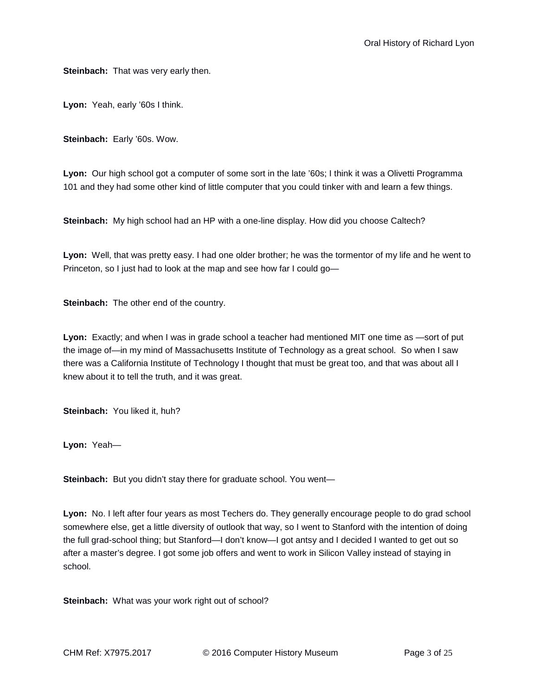**Steinbach:** That was very early then.

**Lyon:** Yeah, early '60s I think.

**Steinbach:** Early '60s. Wow.

**Lyon:** Our high school got a computer of some sort in the late '60s; I think it was a Olivetti Programma 101 and they had some other kind of little computer that you could tinker with and learn a few things.

**Steinbach:** My high school had an HP with a one-line display. How did you choose Caltech?

**Lyon:** Well, that was pretty easy. I had one older brother; he was the tormentor of my life and he went to Princeton, so I just had to look at the map and see how far I could go—

**Steinbach:** The other end of the country.

**Lyon:** Exactly; and when I was in grade school a teacher had mentioned MIT one time as —sort of put the image of—in my mind of Massachusetts Institute of Technology as a great school. So when I saw there was a California Institute of Technology I thought that must be great too, and that was about all I knew about it to tell the truth, and it was great.

**Steinbach:** You liked it, huh?

**Lyon:** Yeah—

**Steinbach:** But you didn't stay there for graduate school. You went—

**Lyon:** No. I left after four years as most Techers do. They generally encourage people to do grad school somewhere else, get a little diversity of outlook that way, so I went to Stanford with the intention of doing the full grad-school thing; but Stanford—I don't know—I got antsy and I decided I wanted to get out so after a master's degree. I got some job offers and went to work in Silicon Valley instead of staying in school.

**Steinbach:** What was your work right out of school?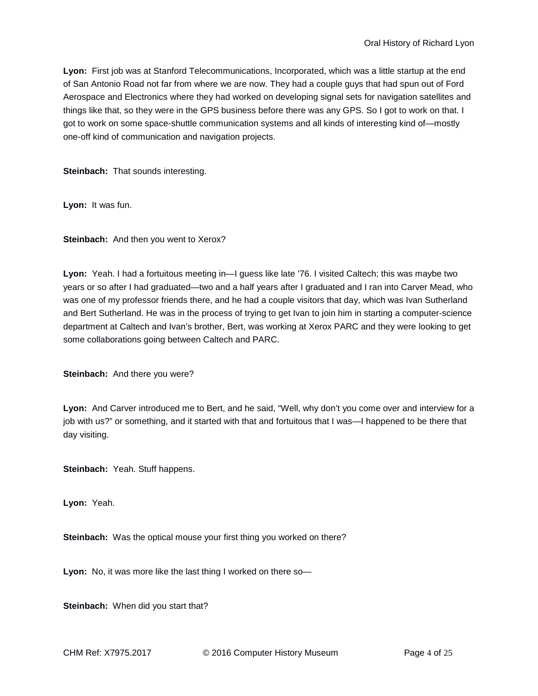**Lyon:** First job was at Stanford Telecommunications, Incorporated, which was a little startup at the end of San Antonio Road not far from where we are now. They had a couple guys that had spun out of Ford Aerospace and Electronics where they had worked on developing signal sets for navigation satellites and things like that, so they were in the GPS business before there was any GPS. So I got to work on that. I got to work on some space-shuttle communication systems and all kinds of interesting kind of—mostly one-off kind of communication and navigation projects.

**Steinbach:** That sounds interesting.

**Lyon:** It was fun.

**Steinbach:** And then you went to Xerox?

**Lyon:** Yeah. I had a fortuitous meeting in—I guess like late '76. I visited Caltech; this was maybe two years or so after I had graduated—two and a half years after I graduated and I ran into Carver Mead, who was one of my professor friends there, and he had a couple visitors that day, which was Ivan Sutherland and Bert Sutherland. He was in the process of trying to get Ivan to join him in starting a computer-science department at Caltech and Ivan's brother, Bert, was working at Xerox PARC and they were looking to get some collaborations going between Caltech and PARC.

**Steinbach:** And there you were?

**Lyon:** And Carver introduced me to Bert, and he said, "Well, why don't you come over and interview for a job with us?" or something, and it started with that and fortuitous that I was—I happened to be there that day visiting.

**Steinbach:** Yeah. Stuff happens.

**Lyon:** Yeah.

**Steinbach:** Was the optical mouse your first thing you worked on there?

**Lyon:** No, it was more like the last thing I worked on there so—

**Steinbach:** When did you start that?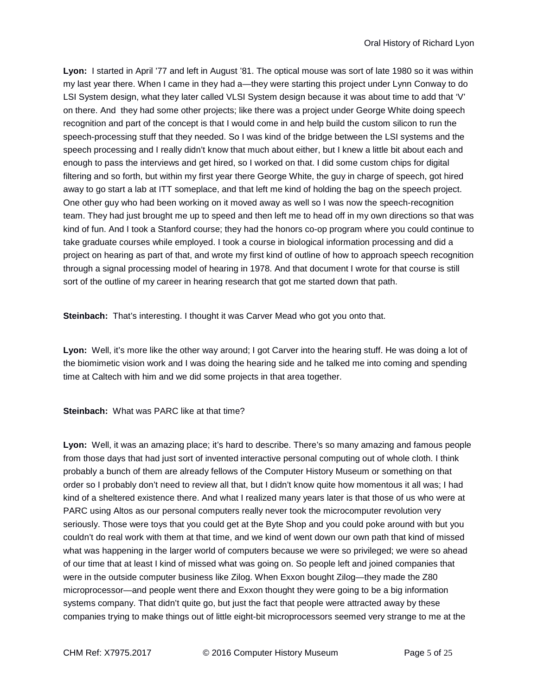**Lyon:** I started in April '77 and left in August '81. The optical mouse was sort of late 1980 so it was within my last year there. When I came in they had a—they were starting this project under Lynn Conway to do LSI System design, what they later called VLSI System design because it was about time to add that 'V' on there. And they had some other projects; like there was a project under George White doing speech recognition and part of the concept is that I would come in and help build the custom silicon to run the speech-processing stuff that they needed. So I was kind of the bridge between the LSI systems and the speech processing and I really didn't know that much about either, but I knew a little bit about each and enough to pass the interviews and get hired, so I worked on that. I did some custom chips for digital filtering and so forth, but within my first year there George White, the guy in charge of speech, got hired away to go start a lab at ITT someplace, and that left me kind of holding the bag on the speech project. One other guy who had been working on it moved away as well so I was now the speech-recognition team. They had just brought me up to speed and then left me to head off in my own directions so that was kind of fun. And I took a Stanford course; they had the honors co-op program where you could continue to take graduate courses while employed. I took a course in biological information processing and did a project on hearing as part of that, and wrote my first kind of outline of how to approach speech recognition through a signal processing model of hearing in 1978. And that document I wrote for that course is still sort of the outline of my career in hearing research that got me started down that path.

**Steinbach:** That's interesting. I thought it was Carver Mead who got you onto that.

**Lyon:** Well, it's more like the other way around; I got Carver into the hearing stuff. He was doing a lot of the biomimetic vision work and I was doing the hearing side and he talked me into coming and spending time at Caltech with him and we did some projects in that area together.

**Steinbach:** What was PARC like at that time?

**Lyon:** Well, it was an amazing place; it's hard to describe. There's so many amazing and famous people from those days that had just sort of invented interactive personal computing out of whole cloth. I think probably a bunch of them are already fellows of the Computer History Museum or something on that order so I probably don't need to review all that, but I didn't know quite how momentous it all was; I had kind of a sheltered existence there. And what I realized many years later is that those of us who were at PARC using Altos as our personal computers really never took the microcomputer revolution very seriously. Those were toys that you could get at the Byte Shop and you could poke around with but you couldn't do real work with them at that time, and we kind of went down our own path that kind of missed what was happening in the larger world of computers because we were so privileged; we were so ahead of our time that at least I kind of missed what was going on. So people left and joined companies that were in the outside computer business like Zilog. When Exxon bought Zilog—they made the Z80 microprocessor—and people went there and Exxon thought they were going to be a big information systems company. That didn't quite go, but just the fact that people were attracted away by these companies trying to make things out of little eight-bit microprocessors seemed very strange to me at the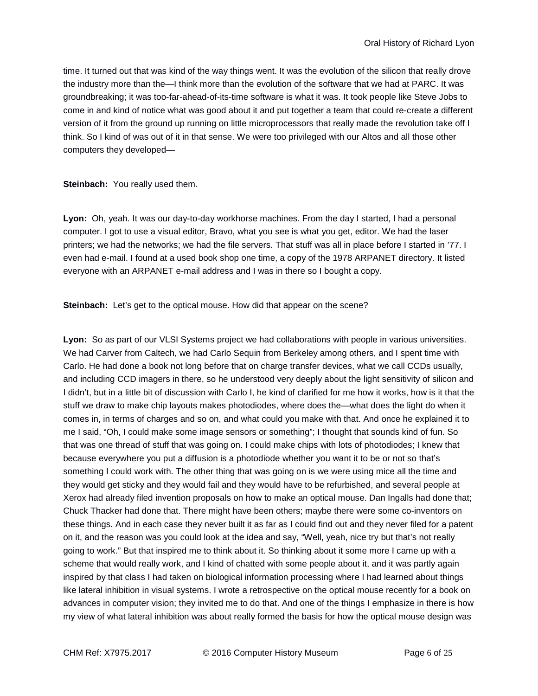time. It turned out that was kind of the way things went. It was the evolution of the silicon that really drove the industry more than the—I think more than the evolution of the software that we had at PARC. It was groundbreaking; it was too-far-ahead-of-its-time software is what it was. It took people like Steve Jobs to come in and kind of notice what was good about it and put together a team that could re-create a different version of it from the ground up running on little microprocessors that really made the revolution take off I think. So I kind of was out of it in that sense. We were too privileged with our Altos and all those other computers they developed—

**Steinbach:** You really used them.

**Lyon:** Oh, yeah. It was our day-to-day workhorse machines. From the day I started, I had a personal computer. I got to use a visual editor, Bravo, what you see is what you get, editor. We had the laser printers; we had the networks; we had the file servers. That stuff was all in place before I started in '77. I even had e-mail. I found at a used book shop one time, a copy of the 1978 ARPANET directory. It listed everyone with an ARPANET e-mail address and I was in there so I bought a copy.

**Steinbach:** Let's get to the optical mouse. How did that appear on the scene?

**Lyon:** So as part of our VLSI Systems project we had collaborations with people in various universities. We had Carver from Caltech, we had Carlo Sequin from Berkeley among others, and I spent time with Carlo. He had done a book not long before that on charge transfer devices, what we call CCDs usually, and including CCD imagers in there, so he understood very deeply about the light sensitivity of silicon and I didn't, but in a little bit of discussion with Carlo I, he kind of clarified for me how it works, how is it that the stuff we draw to make chip layouts makes photodiodes, where does the—what does the light do when it comes in, in terms of charges and so on, and what could you make with that. And once he explained it to me I said, "Oh, I could make some image sensors or something"; I thought that sounds kind of fun. So that was one thread of stuff that was going on. I could make chips with lots of photodiodes; I knew that because everywhere you put a diffusion is a photodiode whether you want it to be or not so that's something I could work with. The other thing that was going on is we were using mice all the time and they would get sticky and they would fail and they would have to be refurbished, and several people at Xerox had already filed invention proposals on how to make an optical mouse. Dan Ingalls had done that; Chuck Thacker had done that. There might have been others; maybe there were some co-inventors on these things. And in each case they never built it as far as I could find out and they never filed for a patent on it, and the reason was you could look at the idea and say, "Well, yeah, nice try but that's not really going to work." But that inspired me to think about it. So thinking about it some more I came up with a scheme that would really work, and I kind of chatted with some people about it, and it was partly again inspired by that class I had taken on biological information processing where I had learned about things like lateral inhibition in visual systems. I wrote a retrospective on the optical mouse recently for a book on advances in computer vision; they invited me to do that. And one of the things I emphasize in there is how my view of what lateral inhibition was about really formed the basis for how the optical mouse design was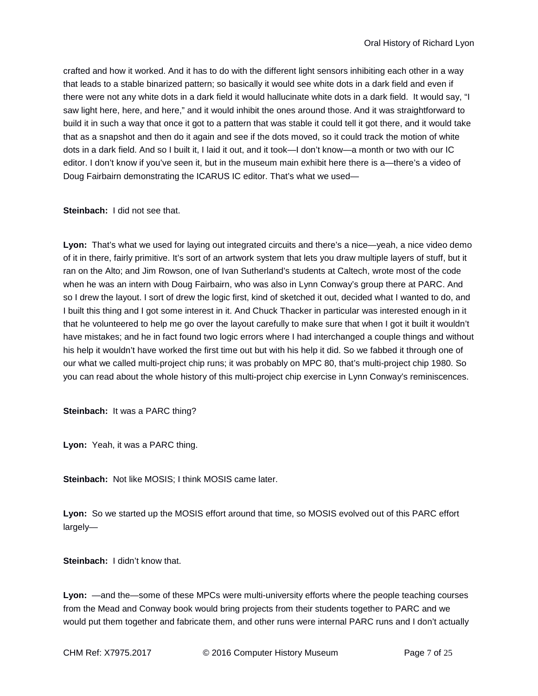crafted and how it worked. And it has to do with the different light sensors inhibiting each other in a way that leads to a stable binarized pattern; so basically it would see white dots in a dark field and even if there were not any white dots in a dark field it would hallucinate white dots in a dark field. It would say, "I saw light here, here, and here," and it would inhibit the ones around those. And it was straightforward to build it in such a way that once it got to a pattern that was stable it could tell it got there, and it would take that as a snapshot and then do it again and see if the dots moved, so it could track the motion of white dots in a dark field. And so I built it, I laid it out, and it took—I don't know—a month or two with our IC editor. I don't know if you've seen it, but in the museum main exhibit here there is a—there's a video of Doug Fairbairn demonstrating the ICARUS IC editor. That's what we used—

# **Steinbach:** I did not see that.

Lyon: That's what we used for laying out integrated circuits and there's a nice—yeah, a nice video demo of it in there, fairly primitive. It's sort of an artwork system that lets you draw multiple layers of stuff, but it ran on the Alto; and Jim Rowson, one of Ivan Sutherland's students at Caltech, wrote most of the code when he was an intern with Doug Fairbairn, who was also in Lynn Conway's group there at PARC. And so I drew the layout. I sort of drew the logic first, kind of sketched it out, decided what I wanted to do, and I built this thing and I got some interest in it. And Chuck Thacker in particular was interested enough in it that he volunteered to help me go over the layout carefully to make sure that when I got it built it wouldn't have mistakes; and he in fact found two logic errors where I had interchanged a couple things and without his help it wouldn't have worked the first time out but with his help it did. So we fabbed it through one of our what we called multi-project chip runs; it was probably on MPC 80, that's multi-project chip 1980. So you can read about the whole history of this multi-project chip exercise in Lynn Conway's reminiscences.

**Steinbach:** It was a PARC thing?

**Lyon:** Yeah, it was a PARC thing.

**Steinbach:** Not like MOSIS; I think MOSIS came later.

**Lyon:** So we started up the MOSIS effort around that time, so MOSIS evolved out of this PARC effort largely—

**Steinbach:** I didn't know that.

**Lyon:** —and the—some of these MPCs were multi-university efforts where the people teaching courses from the Mead and Conway book would bring projects from their students together to PARC and we would put them together and fabricate them, and other runs were internal PARC runs and I don't actually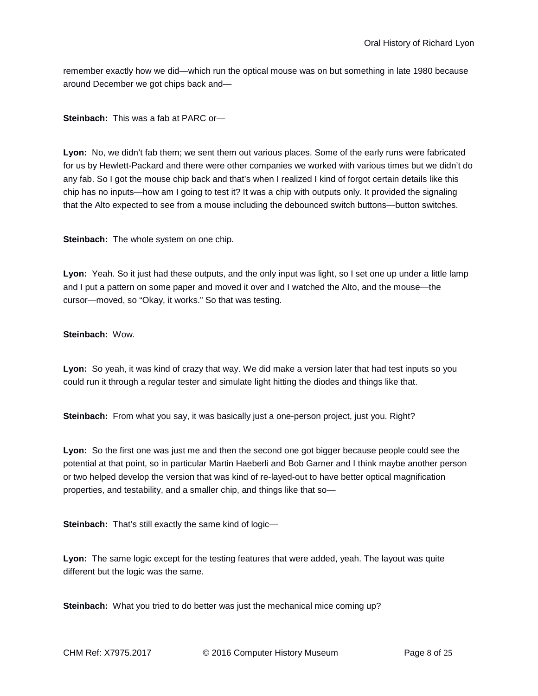remember exactly how we did—which run the optical mouse was on but something in late 1980 because around December we got chips back and—

**Steinbach:** This was a fab at PARC or—

**Lyon:** No, we didn't fab them; we sent them out various places. Some of the early runs were fabricated for us by Hewlett-Packard and there were other companies we worked with various times but we didn't do any fab. So I got the mouse chip back and that's when I realized I kind of forgot certain details like this chip has no inputs—how am I going to test it? It was a chip with outputs only. It provided the signaling that the Alto expected to see from a mouse including the debounced switch buttons—button switches.

**Steinbach:** The whole system on one chip.

**Lyon:** Yeah. So it just had these outputs, and the only input was light, so I set one up under a little lamp and I put a pattern on some paper and moved it over and I watched the Alto, and the mouse—the cursor—moved, so "Okay, it works." So that was testing.

# **Steinbach:** Wow.

**Lyon:** So yeah, it was kind of crazy that way. We did make a version later that had test inputs so you could run it through a regular tester and simulate light hitting the diodes and things like that.

**Steinbach:** From what you say, it was basically just a one-person project, just you. Right?

**Lyon:** So the first one was just me and then the second one got bigger because people could see the potential at that point, so in particular Martin Haeberli and Bob Garner and I think maybe another person or two helped develop the version that was kind of re-layed-out to have better optical magnification properties, and testability, and a smaller chip, and things like that so—

**Steinbach:** That's still exactly the same kind of logic-

**Lyon:** The same logic except for the testing features that were added, yeah. The layout was quite different but the logic was the same.

**Steinbach:** What you tried to do better was just the mechanical mice coming up?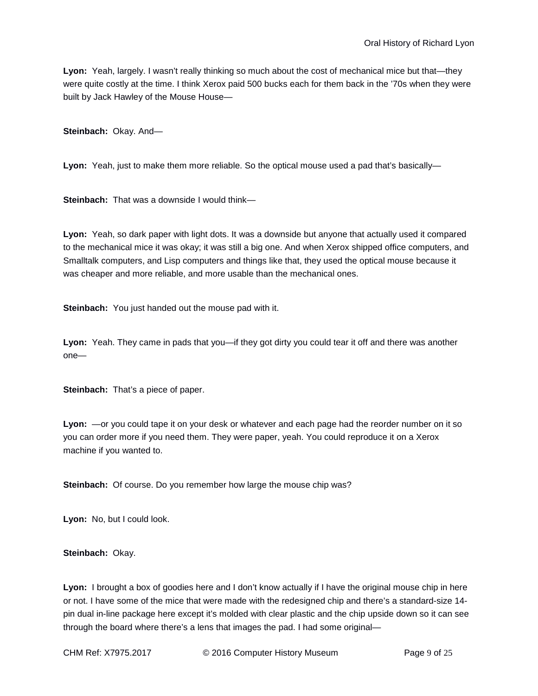**Lyon:** Yeah, largely. I wasn't really thinking so much about the cost of mechanical mice but that—they were quite costly at the time. I think Xerox paid 500 bucks each for them back in the '70s when they were built by Jack Hawley of the Mouse House—

**Steinbach:** Okay. And—

**Lyon:** Yeah, just to make them more reliable. So the optical mouse used a pad that's basically—

**Steinbach:** That was a downside I would think—

**Lyon:** Yeah, so dark paper with light dots. It was a downside but anyone that actually used it compared to the mechanical mice it was okay; it was still a big one. And when Xerox shipped office computers, and Smalltalk computers, and Lisp computers and things like that, they used the optical mouse because it was cheaper and more reliable, and more usable than the mechanical ones.

**Steinbach:** You just handed out the mouse pad with it.

**Lyon:** Yeah. They came in pads that you—if they got dirty you could tear it off and there was another one—

**Steinbach:** That's a piece of paper.

**Lyon:** —or you could tape it on your desk or whatever and each page had the reorder number on it so you can order more if you need them. They were paper, yeah. You could reproduce it on a Xerox machine if you wanted to.

**Steinbach:** Of course. Do you remember how large the mouse chip was?

**Lyon:** No, but I could look.

**Steinbach:** Okay.

**Lyon:** I brought a box of goodies here and I don't know actually if I have the original mouse chip in here or not. I have some of the mice that were made with the redesigned chip and there's a standard-size 14 pin dual in-line package here except it's molded with clear plastic and the chip upside down so it can see through the board where there's a lens that images the pad. I had some original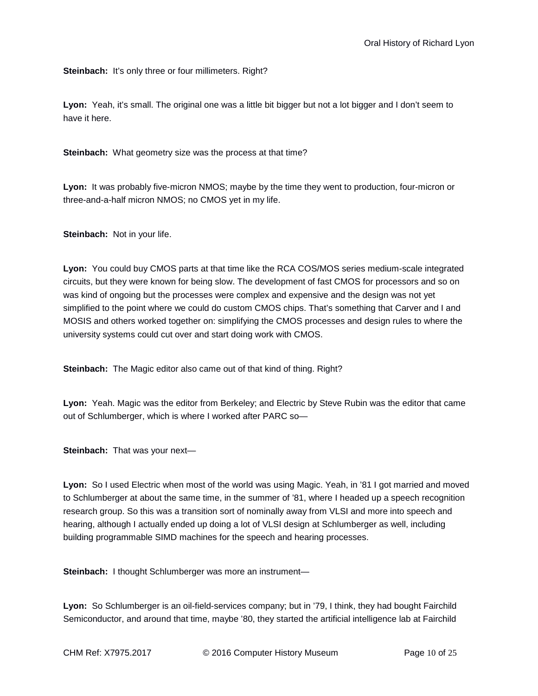**Steinbach:** It's only three or four millimeters. Right?

**Lyon:** Yeah, it's small. The original one was a little bit bigger but not a lot bigger and I don't seem to have it here.

**Steinbach:** What geometry size was the process at that time?

**Lyon:** It was probably five-micron NMOS; maybe by the time they went to production, four-micron or three-and-a-half micron NMOS; no CMOS yet in my life.

**Steinbach:** Not in your life.

**Lyon:** You could buy CMOS parts at that time like the RCA COS/MOS series medium-scale integrated circuits, but they were known for being slow. The development of fast CMOS for processors and so on was kind of ongoing but the processes were complex and expensive and the design was not yet simplified to the point where we could do custom CMOS chips. That's something that Carver and I and MOSIS and others worked together on: simplifying the CMOS processes and design rules to where the university systems could cut over and start doing work with CMOS.

**Steinbach:** The Magic editor also came out of that kind of thing. Right?

**Lyon:** Yeah. Magic was the editor from Berkeley; and Electric by Steve Rubin was the editor that came out of Schlumberger, which is where I worked after PARC so—

**Steinbach:** That was your next—

**Lyon:** So I used Electric when most of the world was using Magic. Yeah, in '81 I got married and moved to Schlumberger at about the same time, in the summer of '81, where I headed up a speech recognition research group. So this was a transition sort of nominally away from VLSI and more into speech and hearing, although I actually ended up doing a lot of VLSI design at Schlumberger as well, including building programmable SIMD machines for the speech and hearing processes.

**Steinbach:** I thought Schlumberger was more an instrument—

**Lyon:** So Schlumberger is an oil-field-services company; but in '79, I think, they had bought Fairchild Semiconductor, and around that time, maybe '80, they started the artificial intelligence lab at Fairchild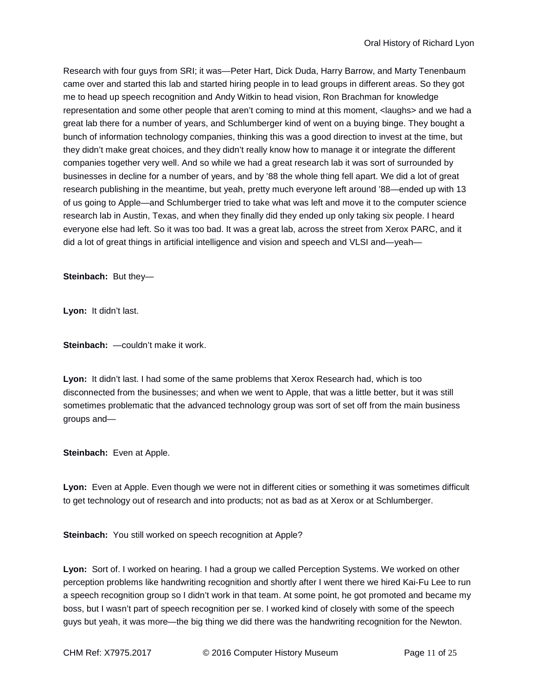Research with four guys from SRI; it was—Peter Hart, Dick Duda, Harry Barrow, and Marty Tenenbaum came over and started this lab and started hiring people in to lead groups in different areas. So they got me to head up speech recognition and Andy Witkin to head vision, Ron Brachman for knowledge representation and some other people that aren't coming to mind at this moment, <laughs> and we had a great lab there for a number of years, and Schlumberger kind of went on a buying binge. They bought a bunch of information technology companies, thinking this was a good direction to invest at the time, but they didn't make great choices, and they didn't really know how to manage it or integrate the different companies together very well. And so while we had a great research lab it was sort of surrounded by businesses in decline for a number of years, and by '88 the whole thing fell apart. We did a lot of great research publishing in the meantime, but yeah, pretty much everyone left around '88—ended up with 13 of us going to Apple—and Schlumberger tried to take what was left and move it to the computer science research lab in Austin, Texas, and when they finally did they ended up only taking six people. I heard everyone else had left. So it was too bad. It was a great lab, across the street from Xerox PARC, and it did a lot of great things in artificial intelligence and vision and speech and VLSI and—yeah—

**Steinbach:** But they—

**Lyon:** It didn't last.

**Steinbach:** —couldn't make it work.

**Lyon:** It didn't last. I had some of the same problems that Xerox Research had, which is too disconnected from the businesses; and when we went to Apple, that was a little better, but it was still sometimes problematic that the advanced technology group was sort of set off from the main business groups and—

**Steinbach:** Even at Apple.

Lyon: Even at Apple. Even though we were not in different cities or something it was sometimes difficult to get technology out of research and into products; not as bad as at Xerox or at Schlumberger.

**Steinbach:** You still worked on speech recognition at Apple?

**Lyon:** Sort of. I worked on hearing. I had a group we called Perception Systems. We worked on other perception problems like handwriting recognition and shortly after I went there we hired Kai-Fu Lee to run a speech recognition group so I didn't work in that team. At some point, he got promoted and became my boss, but I wasn't part of speech recognition per se. I worked kind of closely with some of the speech guys but yeah, it was more—the big thing we did there was the handwriting recognition for the Newton.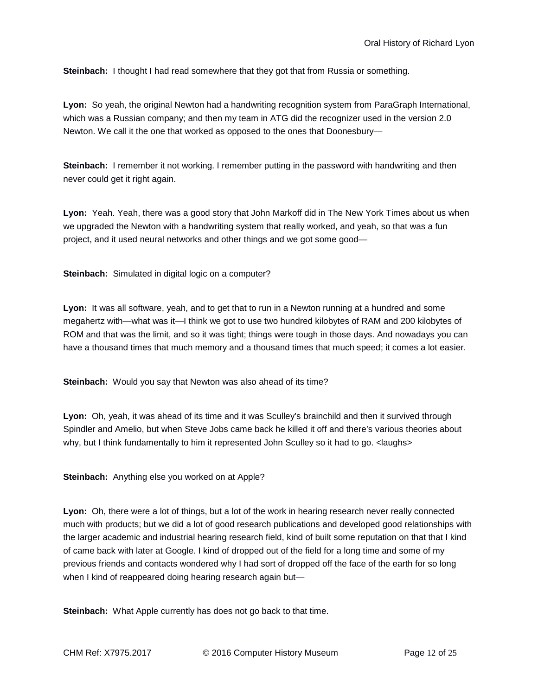**Steinbach:** I thought I had read somewhere that they got that from Russia or something.

**Lyon:** So yeah, the original Newton had a handwriting recognition system from ParaGraph International, which was a Russian company; and then my team in ATG did the recognizer used in the version 2.0 Newton. We call it the one that worked as opposed to the ones that Doonesbury—

**Steinbach:** I remember it not working. I remember putting in the password with handwriting and then never could get it right again.

**Lyon:** Yeah. Yeah, there was a good story that John Markoff did in The New York Times about us when we upgraded the Newton with a handwriting system that really worked, and yeah, so that was a fun project, and it used neural networks and other things and we got some good—

**Steinbach:** Simulated in digital logic on a computer?

**Lyon:** It was all software, yeah, and to get that to run in a Newton running at a hundred and some megahertz with—what was it—I think we got to use two hundred kilobytes of RAM and 200 kilobytes of ROM and that was the limit, and so it was tight; things were tough in those days. And nowadays you can have a thousand times that much memory and a thousand times that much speed; it comes a lot easier.

**Steinbach:** Would you say that Newton was also ahead of its time?

**Lyon:** Oh, yeah, it was ahead of its time and it was Sculley's brainchild and then it survived through Spindler and Amelio, but when Steve Jobs came back he killed it off and there's various theories about why, but I think fundamentally to him it represented John Sculley so it had to go. < laughs>

**Steinbach:** Anything else you worked on at Apple?

**Lyon:** Oh, there were a lot of things, but a lot of the work in hearing research never really connected much with products; but we did a lot of good research publications and developed good relationships with the larger academic and industrial hearing research field, kind of built some reputation on that that I kind of came back with later at Google. I kind of dropped out of the field for a long time and some of my previous friends and contacts wondered why I had sort of dropped off the face of the earth for so long when I kind of reappeared doing hearing research again but—

**Steinbach:** What Apple currently has does not go back to that time.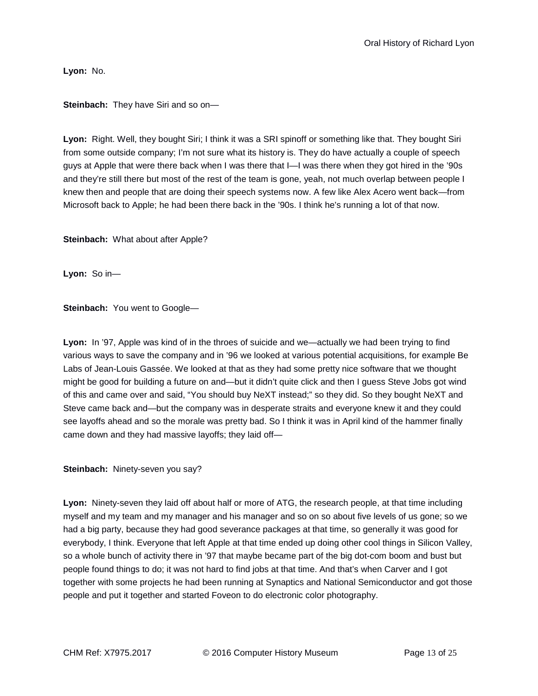**Lyon:** No.

# **Steinbach:** They have Siri and so on—

**Lyon:** Right. Well, they bought Siri; I think it was a SRI spinoff or something like that. They bought Siri from some outside company; I'm not sure what its history is. They do have actually a couple of speech guys at Apple that were there back when I was there that I—I was there when they got hired in the '90s and they're still there but most of the rest of the team is gone, yeah, not much overlap between people I knew then and people that are doing their speech systems now. A few like Alex Acero went back—from Microsoft back to Apple; he had been there back in the '90s. I think he's running a lot of that now.

**Steinbach:** What about after Apple?

**Lyon:** So in—

**Steinbach:** You went to Google-

Lyon: In '97, Apple was kind of in the throes of suicide and we—actually we had been trying to find various ways to save the company and in '96 we looked at various potential acquisitions, for example Be Labs of Jean-Louis Gassée. We looked at that as they had some pretty nice software that we thought might be good for building a future on and—but it didn't quite click and then I guess Steve Jobs got wind of this and came over and said, "You should buy NeXT instead;" so they did. So they bought NeXT and Steve came back and—but the company was in desperate straits and everyone knew it and they could see layoffs ahead and so the morale was pretty bad. So I think it was in April kind of the hammer finally came down and they had massive layoffs; they laid off—

**Steinbach:** Ninety-seven you say?

**Lyon:** Ninety-seven they laid off about half or more of ATG, the research people, at that time including myself and my team and my manager and his manager and so on so about five levels of us gone; so we had a big party, because they had good severance packages at that time, so generally it was good for everybody, I think. Everyone that left Apple at that time ended up doing other cool things in Silicon Valley, so a whole bunch of activity there in '97 that maybe became part of the big dot-com boom and bust but people found things to do; it was not hard to find jobs at that time. And that's when Carver and I got together with some projects he had been running at Synaptics and National Semiconductor and got those people and put it together and started Foveon to do electronic color photography.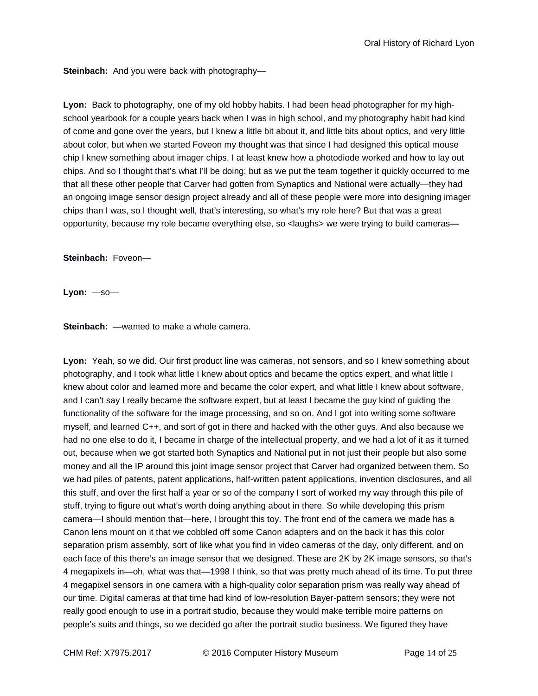**Steinbach:** And you were back with photography—

**Lyon:** Back to photography, one of my old hobby habits. I had been head photographer for my highschool yearbook for a couple years back when I was in high school, and my photography habit had kind of come and gone over the years, but I knew a little bit about it, and little bits about optics, and very little about color, but when we started Foveon my thought was that since I had designed this optical mouse chip I knew something about imager chips. I at least knew how a photodiode worked and how to lay out chips. And so I thought that's what I'll be doing; but as we put the team together it quickly occurred to me that all these other people that Carver had gotten from Synaptics and National were actually—they had an ongoing image sensor design project already and all of these people were more into designing imager chips than I was, so I thought well, that's interesting, so what's my role here? But that was a great opportunity, because my role became everything else, so <laughs> we were trying to build cameras—

**Steinbach:** Foveon—

**Lyon:** —so—

**Steinbach:** —wanted to make a whole camera.

**Lyon:** Yeah, so we did. Our first product line was cameras, not sensors, and so I knew something about photography, and I took what little I knew about optics and became the optics expert, and what little I knew about color and learned more and became the color expert, and what little I knew about software, and I can't say I really became the software expert, but at least I became the guy kind of guiding the functionality of the software for the image processing, and so on. And I got into writing some software myself, and learned C++, and sort of got in there and hacked with the other guys. And also because we had no one else to do it, I became in charge of the intellectual property, and we had a lot of it as it turned out, because when we got started both Synaptics and National put in not just their people but also some money and all the IP around this joint image sensor project that Carver had organized between them. So we had piles of patents, patent applications, half-written patent applications, invention disclosures, and all this stuff, and over the first half a year or so of the company I sort of worked my way through this pile of stuff, trying to figure out what's worth doing anything about in there. So while developing this prism camera—I should mention that—here, I brought this toy. The front end of the camera we made has a Canon lens mount on it that we cobbled off some Canon adapters and on the back it has this color separation prism assembly, sort of like what you find in video cameras of the day, only different, and on each face of this there's an image sensor that we designed. These are 2K by 2K image sensors, so that's 4 megapixels in—oh, what was that—1998 I think, so that was pretty much ahead of its time. To put three 4 megapixel sensors in one camera with a high-quality color separation prism was really way ahead of our time. Digital cameras at that time had kind of low-resolution Bayer-pattern sensors; they were not really good enough to use in a portrait studio, because they would make terrible moire patterns on people's suits and things, so we decided go after the portrait studio business. We figured they have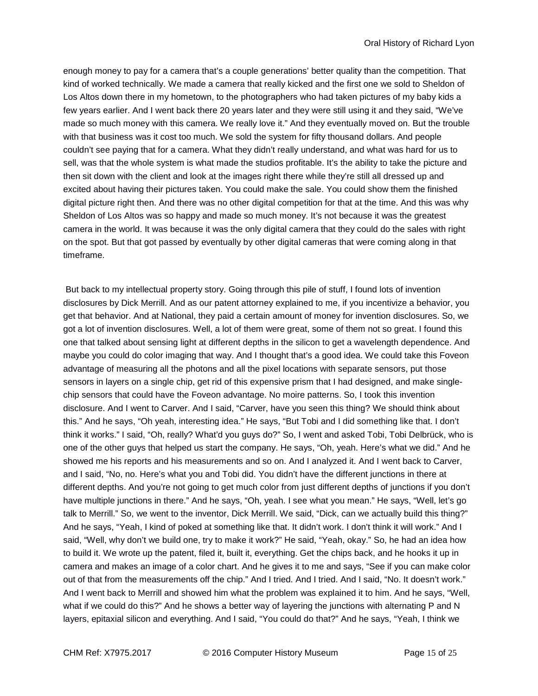enough money to pay for a camera that's a couple generations' better quality than the competition. That kind of worked technically. We made a camera that really kicked and the first one we sold to Sheldon of Los Altos down there in my hometown, to the photographers who had taken pictures of my baby kids a few years earlier. And I went back there 20 years later and they were still using it and they said, "We've made so much money with this camera. We really love it." And they eventually moved on. But the trouble with that business was it cost too much. We sold the system for fifty thousand dollars. And people couldn't see paying that for a camera. What they didn't really understand, and what was hard for us to sell, was that the whole system is what made the studios profitable. It's the ability to take the picture and then sit down with the client and look at the images right there while they're still all dressed up and excited about having their pictures taken. You could make the sale. You could show them the finished digital picture right then. And there was no other digital competition for that at the time. And this was why Sheldon of Los Altos was so happy and made so much money. It's not because it was the greatest camera in the world. It was because it was the only digital camera that they could do the sales with right on the spot. But that got passed by eventually by other digital cameras that were coming along in that timeframe.

But back to my intellectual property story. Going through this pile of stuff, I found lots of invention disclosures by Dick Merrill. And as our patent attorney explained to me, if you incentivize a behavior, you get that behavior. And at National, they paid a certain amount of money for invention disclosures. So, we got a lot of invention disclosures. Well, a lot of them were great, some of them not so great. I found this one that talked about sensing light at different depths in the silicon to get a wavelength dependence. And maybe you could do color imaging that way. And I thought that's a good idea. We could take this Foveon advantage of measuring all the photons and all the pixel locations with separate sensors, put those sensors in layers on a single chip, get rid of this expensive prism that I had designed, and make singlechip sensors that could have the Foveon advantage. No moire patterns. So, I took this invention disclosure. And I went to Carver. And I said, "Carver, have you seen this thing? We should think about this." And he says, "Oh yeah, interesting idea." He says, "But Tobi and I did something like that. I don't think it works." I said, "Oh, really? What'd you guys do?" So, I went and asked Tobi, Tobi Delbrück, who is one of the other guys that helped us start the company. He says, "Oh, yeah. Here's what we did." And he showed me his reports and his measurements and so on. And I analyzed it. And I went back to Carver, and I said, "No, no. Here's what you and Tobi did. You didn't have the different junctions in there at different depths. And you're not going to get much color from just different depths of junctions if you don't have multiple junctions in there." And he says, "Oh, yeah. I see what you mean." He says, "Well, let's go talk to Merrill." So, we went to the inventor, Dick Merrill. We said, "Dick, can we actually build this thing?" And he says, "Yeah, I kind of poked at something like that. It didn't work. I don't think it will work." And I said, "Well, why don't we build one, try to make it work?" He said, "Yeah, okay." So, he had an idea how to build it. We wrote up the patent, filed it, built it, everything. Get the chips back, and he hooks it up in camera and makes an image of a color chart. And he gives it to me and says, "See if you can make color out of that from the measurements off the chip." And I tried. And I tried. And I said, "No. It doesn't work." And I went back to Merrill and showed him what the problem was explained it to him. And he says, "Well, what if we could do this?" And he shows a better way of layering the junctions with alternating P and N layers, epitaxial silicon and everything. And I said, "You could do that?" And he says, "Yeah, I think we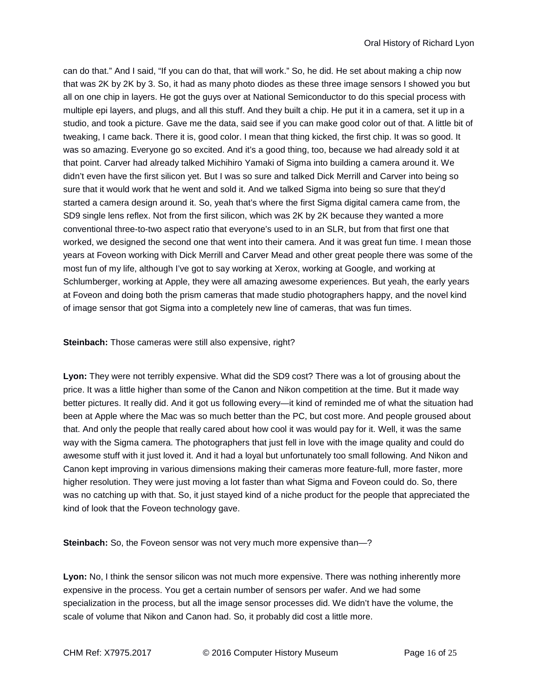can do that." And I said, "If you can do that, that will work." So, he did. He set about making a chip now that was 2K by 2K by 3. So, it had as many photo diodes as these three image sensors I showed you but all on one chip in layers. He got the guys over at National Semiconductor to do this special process with multiple epi layers, and plugs, and all this stuff. And they built a chip. He put it in a camera, set it up in a studio, and took a picture. Gave me the data, said see if you can make good color out of that. A little bit of tweaking, I came back. There it is, good color. I mean that thing kicked, the first chip. It was so good. It was so amazing. Everyone go so excited. And it's a good thing, too, because we had already sold it at that point. Carver had already talked Michihiro Yamaki of Sigma into building a camera around it. We didn't even have the first silicon yet. But I was so sure and talked Dick Merrill and Carver into being so sure that it would work that he went and sold it. And we talked Sigma into being so sure that they'd started a camera design around it. So, yeah that's where the first Sigma digital camera came from, the SD9 single lens reflex. Not from the first silicon, which was 2K by 2K because they wanted a more conventional three-to-two aspect ratio that everyone's used to in an SLR, but from that first one that worked, we designed the second one that went into their camera. And it was great fun time. I mean those years at Foveon working with Dick Merrill and Carver Mead and other great people there was some of the most fun of my life, although I've got to say working at Xerox, working at Google, and working at Schlumberger, working at Apple, they were all amazing awesome experiences. But yeah, the early years at Foveon and doing both the prism cameras that made studio photographers happy, and the novel kind of image sensor that got Sigma into a completely new line of cameras, that was fun times.

#### **Steinbach:** Those cameras were still also expensive, right?

**Lyon:** They were not terribly expensive. What did the SD9 cost? There was a lot of grousing about the price. It was a little higher than some of the Canon and Nikon competition at the time. But it made way better pictures. It really did. And it got us following every—it kind of reminded me of what the situation had been at Apple where the Mac was so much better than the PC, but cost more. And people groused about that. And only the people that really cared about how cool it was would pay for it. Well, it was the same way with the Sigma camera. The photographers that just fell in love with the image quality and could do awesome stuff with it just loved it. And it had a loyal but unfortunately too small following. And Nikon and Canon kept improving in various dimensions making their cameras more feature-full, more faster, more higher resolution. They were just moving a lot faster than what Sigma and Foveon could do. So, there was no catching up with that. So, it just stayed kind of a niche product for the people that appreciated the kind of look that the Foveon technology gave.

**Steinbach:** So, the Foveon sensor was not very much more expensive than-?

**Lyon:** No, I think the sensor silicon was not much more expensive. There was nothing inherently more expensive in the process. You get a certain number of sensors per wafer. And we had some specialization in the process, but all the image sensor processes did. We didn't have the volume, the scale of volume that Nikon and Canon had. So, it probably did cost a little more.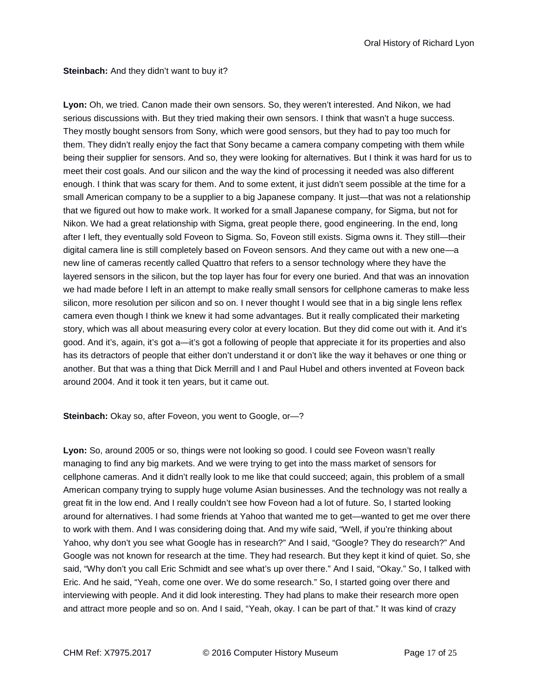**Steinbach:** And they didn't want to buy it?

**Lyon:** Oh, we tried. Canon made their own sensors. So, they weren't interested. And Nikon, we had serious discussions with. But they tried making their own sensors. I think that wasn't a huge success. They mostly bought sensors from Sony, which were good sensors, but they had to pay too much for them. They didn't really enjoy the fact that Sony became a camera company competing with them while being their supplier for sensors. And so, they were looking for alternatives. But I think it was hard for us to meet their cost goals. And our silicon and the way the kind of processing it needed was also different enough. I think that was scary for them. And to some extent, it just didn't seem possible at the time for a small American company to be a supplier to a big Japanese company. It just—that was not a relationship that we figured out how to make work. It worked for a small Japanese company, for Sigma, but not for Nikon. We had a great relationship with Sigma, great people there, good engineering. In the end, long after I left, they eventually sold Foveon to Sigma. So, Foveon still exists. Sigma owns it. They still—their digital camera line is still completely based on Foveon sensors. And they came out with a new one—a new line of cameras recently called Quattro that refers to a sensor technology where they have the layered sensors in the silicon, but the top layer has four for every one buried. And that was an innovation we had made before I left in an attempt to make really small sensors for cellphone cameras to make less silicon, more resolution per silicon and so on. I never thought I would see that in a big single lens reflex camera even though I think we knew it had some advantages. But it really complicated their marketing story, which was all about measuring every color at every location. But they did come out with it. And it's good. And it's, again, it's got a—it's got a following of people that appreciate it for its properties and also has its detractors of people that either don't understand it or don't like the way it behaves or one thing or another. But that was a thing that Dick Merrill and I and Paul Hubel and others invented at Foveon back around 2004. And it took it ten years, but it came out.

**Steinbach:** Okay so, after Foveon, you went to Google, or—?

**Lyon:** So, around 2005 or so, things were not looking so good. I could see Foveon wasn't really managing to find any big markets. And we were trying to get into the mass market of sensors for cellphone cameras. And it didn't really look to me like that could succeed; again, this problem of a small American company trying to supply huge volume Asian businesses. And the technology was not really a great fit in the low end. And I really couldn't see how Foveon had a lot of future. So, I started looking around for alternatives. I had some friends at Yahoo that wanted me to get—wanted to get me over there to work with them. And I was considering doing that. And my wife said, "Well, if you're thinking about Yahoo, why don't you see what Google has in research?" And I said, "Google? They do research?" And Google was not known for research at the time. They had research. But they kept it kind of quiet. So, she said, "Why don't you call Eric Schmidt and see what's up over there." And I said, "Okay." So, I talked with Eric. And he said, "Yeah, come one over. We do some research." So, I started going over there and interviewing with people. And it did look interesting. They had plans to make their research more open and attract more people and so on. And I said, "Yeah, okay. I can be part of that." It was kind of crazy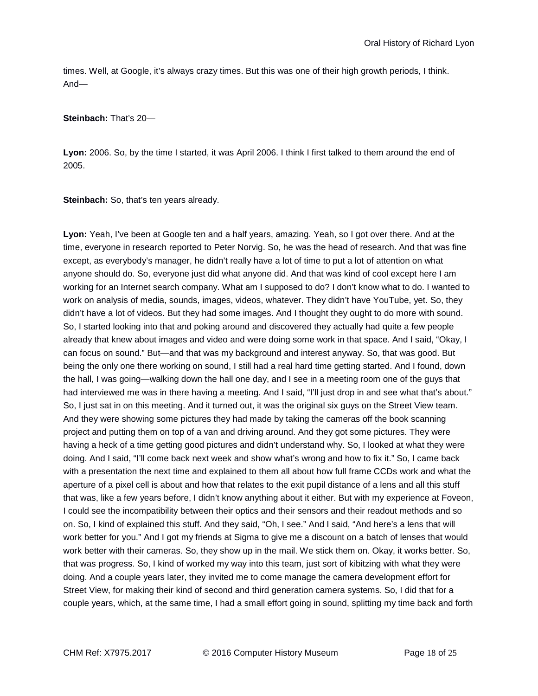times. Well, at Google, it's always crazy times. But this was one of their high growth periods, I think. And—

**Steinbach:** That's 20—

**Lyon:** 2006. So, by the time I started, it was April 2006. I think I first talked to them around the end of 2005.

**Steinbach:** So, that's ten years already.

**Lyon:** Yeah, I've been at Google ten and a half years, amazing. Yeah, so I got over there. And at the time, everyone in research reported to Peter Norvig. So, he was the head of research. And that was fine except, as everybody's manager, he didn't really have a lot of time to put a lot of attention on what anyone should do. So, everyone just did what anyone did. And that was kind of cool except here I am working for an Internet search company. What am I supposed to do? I don't know what to do. I wanted to work on analysis of media, sounds, images, videos, whatever. They didn't have YouTube, yet. So, they didn't have a lot of videos. But they had some images. And I thought they ought to do more with sound. So, I started looking into that and poking around and discovered they actually had quite a few people already that knew about images and video and were doing some work in that space. And I said, "Okay, I can focus on sound." But—and that was my background and interest anyway. So, that was good. But being the only one there working on sound, I still had a real hard time getting started. And I found, down the hall, I was going—walking down the hall one day, and I see in a meeting room one of the guys that had interviewed me was in there having a meeting. And I said, "I'll just drop in and see what that's about." So, I just sat in on this meeting. And it turned out, it was the original six guys on the Street View team. And they were showing some pictures they had made by taking the cameras off the book scanning project and putting them on top of a van and driving around. And they got some pictures. They were having a heck of a time getting good pictures and didn't understand why. So, I looked at what they were doing. And I said, "I'll come back next week and show what's wrong and how to fix it." So, I came back with a presentation the next time and explained to them all about how full frame CCDs work and what the aperture of a pixel cell is about and how that relates to the exit pupil distance of a lens and all this stuff that was, like a few years before, I didn't know anything about it either. But with my experience at Foveon, I could see the incompatibility between their optics and their sensors and their readout methods and so on. So, I kind of explained this stuff. And they said, "Oh, I see." And I said, "And here's a lens that will work better for you." And I got my friends at Sigma to give me a discount on a batch of lenses that would work better with their cameras. So, they show up in the mail. We stick them on. Okay, it works better. So, that was progress. So, I kind of worked my way into this team, just sort of kibitzing with what they were doing. And a couple years later, they invited me to come manage the camera development effort for Street View, for making their kind of second and third generation camera systems. So, I did that for a couple years, which, at the same time, I had a small effort going in sound, splitting my time back and forth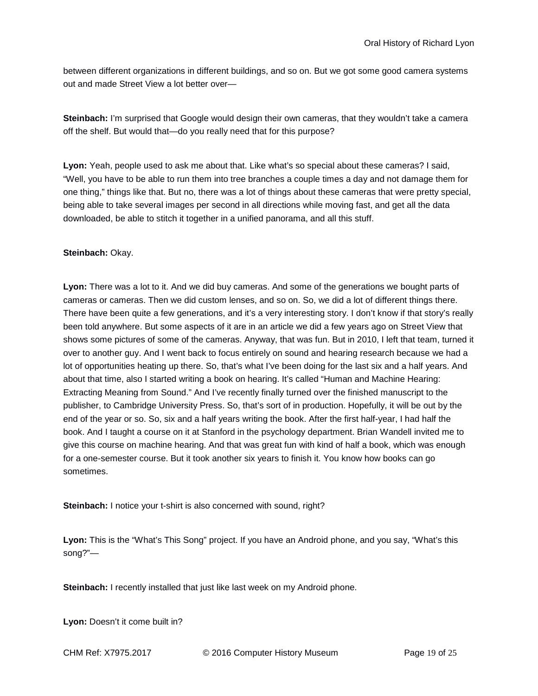between different organizations in different buildings, and so on. But we got some good camera systems out and made Street View a lot better over—

**Steinbach:** I'm surprised that Google would design their own cameras, that they wouldn't take a camera off the shelf. But would that—do you really need that for this purpose?

**Lyon:** Yeah, people used to ask me about that. Like what's so special about these cameras? I said, "Well, you have to be able to run them into tree branches a couple times a day and not damage them for one thing," things like that. But no, there was a lot of things about these cameras that were pretty special, being able to take several images per second in all directions while moving fast, and get all the data downloaded, be able to stitch it together in a unified panorama, and all this stuff.

# **Steinbach:** Okay.

**Lyon:** There was a lot to it. And we did buy cameras. And some of the generations we bought parts of cameras or cameras. Then we did custom lenses, and so on. So, we did a lot of different things there. There have been quite a few generations, and it's a very interesting story. I don't know if that story's really been told anywhere. But some aspects of it are in an article we did a few years ago on Street View that shows some pictures of some of the cameras. Anyway, that was fun. But in 2010, I left that team, turned it over to another guy. And I went back to focus entirely on sound and hearing research because we had a lot of opportunities heating up there. So, that's what I've been doing for the last six and a half years. And about that time, also I started writing a book on hearing. It's called "Human and Machine Hearing: Extracting Meaning from Sound." And I've recently finally turned over the finished manuscript to the publisher, to Cambridge University Press. So, that's sort of in production. Hopefully, it will be out by the end of the year or so. So, six and a half years writing the book. After the first half-year, I had half the book. And I taught a course on it at Stanford in the psychology department. Brian Wandell invited me to give this course on machine hearing. And that was great fun with kind of half a book, which was enough for a one-semester course. But it took another six years to finish it. You know how books can go sometimes.

**Steinbach:** I notice your t-shirt is also concerned with sound, right?

**Lyon:** This is the "What's This Song" project. If you have an Android phone, and you say, "What's this song?"—

**Steinbach:** I recently installed that just like last week on my Android phone.

**Lyon:** Doesn't it come built in?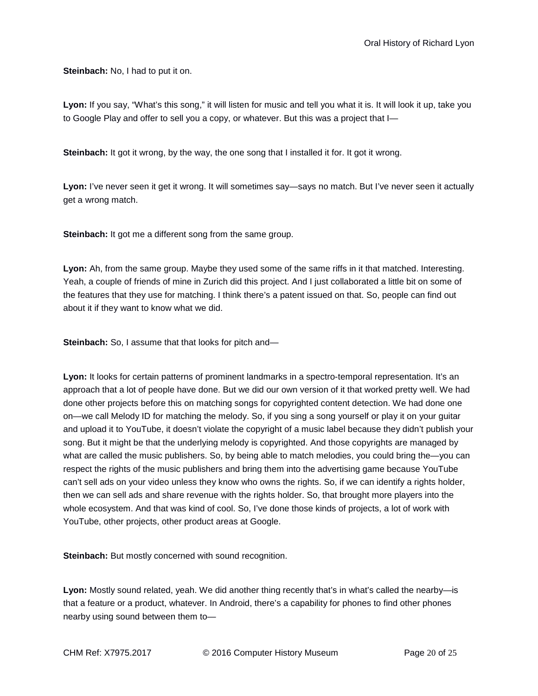**Steinbach:** No, I had to put it on.

**Lyon:** If you say, "What's this song," it will listen for music and tell you what it is. It will look it up, take you to Google Play and offer to sell you a copy, or whatever. But this was a project that I—

**Steinbach:** It got it wrong, by the way, the one song that I installed it for. It got it wrong.

**Lyon:** I've never seen it get it wrong. It will sometimes say—says no match. But I've never seen it actually get a wrong match.

**Steinbach:** It got me a different song from the same group.

**Lyon:** Ah, from the same group. Maybe they used some of the same riffs in it that matched. Interesting. Yeah, a couple of friends of mine in Zurich did this project. And I just collaborated a little bit on some of the features that they use for matching. I think there's a patent issued on that. So, people can find out about it if they want to know what we did.

**Steinbach:** So, I assume that that looks for pitch and-

**Lyon:** It looks for certain patterns of prominent landmarks in a spectro-temporal representation. It's an approach that a lot of people have done. But we did our own version of it that worked pretty well. We had done other projects before this on matching songs for copyrighted content detection. We had done one on—we call Melody ID for matching the melody. So, if you sing a song yourself or play it on your guitar and upload it to YouTube, it doesn't violate the copyright of a music label because they didn't publish your song. But it might be that the underlying melody is copyrighted. And those copyrights are managed by what are called the music publishers. So, by being able to match melodies, you could bring the—you can respect the rights of the music publishers and bring them into the advertising game because YouTube can't sell ads on your video unless they know who owns the rights. So, if we can identify a rights holder, then we can sell ads and share revenue with the rights holder. So, that brought more players into the whole ecosystem. And that was kind of cool. So, I've done those kinds of projects, a lot of work with YouTube, other projects, other product areas at Google.

**Steinbach:** But mostly concerned with sound recognition.

Lyon: Mostly sound related, yeah. We did another thing recently that's in what's called the nearby-is that a feature or a product, whatever. In Android, there's a capability for phones to find other phones nearby using sound between them to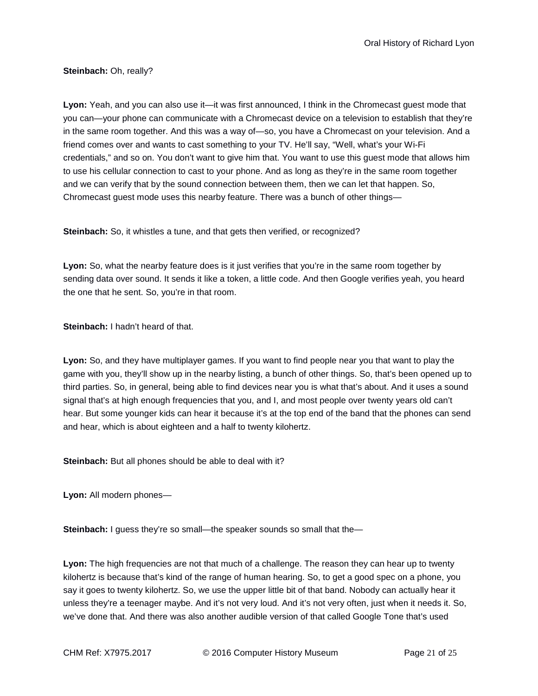**Steinbach:** Oh, really?

Lyon: Yeah, and you can also use it—it was first announced, I think in the Chromecast guest mode that you can—your phone can communicate with a Chromecast device on a television to establish that they're in the same room together. And this was a way of—so, you have a Chromecast on your television. And a friend comes over and wants to cast something to your TV. He'll say, "Well, what's your Wi-Fi credentials," and so on. You don't want to give him that. You want to use this guest mode that allows him to use his cellular connection to cast to your phone. And as long as they're in the same room together and we can verify that by the sound connection between them, then we can let that happen. So, Chromecast guest mode uses this nearby feature. There was a bunch of other things—

**Steinbach:** So, it whistles a tune, and that gets then verified, or recognized?

**Lyon:** So, what the nearby feature does is it just verifies that you're in the same room together by sending data over sound. It sends it like a token, a little code. And then Google verifies yeah, you heard the one that he sent. So, you're in that room.

**Steinbach:** I hadn't heard of that.

**Lyon:** So, and they have multiplayer games. If you want to find people near you that want to play the game with you, they'll show up in the nearby listing, a bunch of other things. So, that's been opened up to third parties. So, in general, being able to find devices near you is what that's about. And it uses a sound signal that's at high enough frequencies that you, and I, and most people over twenty years old can't hear. But some younger kids can hear it because it's at the top end of the band that the phones can send and hear, which is about eighteen and a half to twenty kilohertz.

**Steinbach:** But all phones should be able to deal with it?

**Lyon:** All modern phones—

**Steinbach:** I guess they're so small—the speaker sounds so small that the—

**Lyon:** The high frequencies are not that much of a challenge. The reason they can hear up to twenty kilohertz is because that's kind of the range of human hearing. So, to get a good spec on a phone, you say it goes to twenty kilohertz. So, we use the upper little bit of that band. Nobody can actually hear it unless they're a teenager maybe. And it's not very loud. And it's not very often, just when it needs it. So, we've done that. And there was also another audible version of that called Google Tone that's used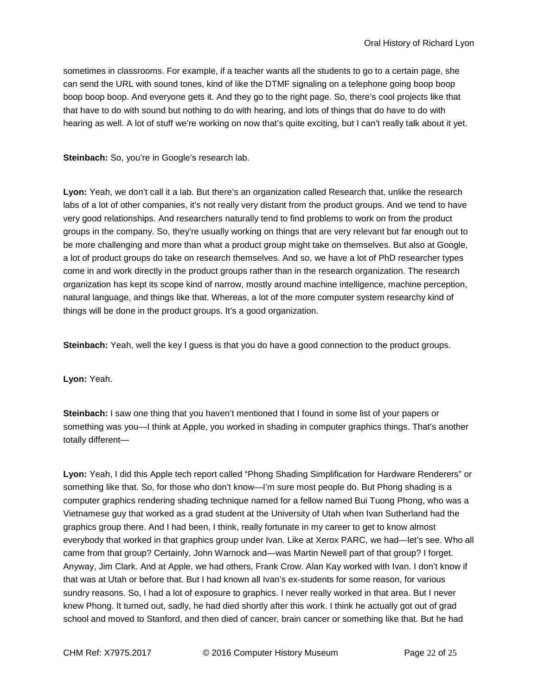sometimes in classrooms. For example, if a teacher wants all the students to go to a certain page, she can send the URL with sound tones, kind of like the DTMF signaling on a telephone going boop boop boop boop boop. And everyone gets it. And they go to the right page. So, there's cool projects like that that have to do with sound but nothing to do with hearing, and lots of things that do have to do with hearing as well. A lot of stuff we're working on now that's quite exciting, but I can't really talk about it yet.

**Steinbach:** So, you're in Google's research lab.

**Lyon:** Yeah, we don't call it a lab. But there's an organization called Research that, unlike the research labs of a lot of other companies, it's not really very distant from the product groups. And we tend to have very good relationships. And researchers naturally tend to find problems to work on from the product groups in the company. So, they're usually working on things that are very relevant but far enough out to be more challenging and more than what a product group might take on themselves. But also at Google, a lot of product groups do take on research themselves. And so, we have a lot of PhD researcher types come in and work directly in the product groups rather than in the research organization. The research organization has kept its scope kind of narrow, mostly around machine intelligence, machine perception, natural language, and things like that. Whereas, a lot of the more computer system researchy kind of things will be done in the product groups. It's a good organization.

**Steinbach:** Yeah, well the key I guess is that you do have a good connection to the product groups.

**Lyon:** Yeah.

**Steinbach:** I saw one thing that you haven't mentioned that I found in some list of your papers or something was you—I think at Apple, you worked in shading in computer graphics things. That's another totally different—

**Lyon:** Yeah, I did this Apple tech report called "Phong Shading Simplification for Hardware Renderers" or something like that. So, for those who don't know—I'm sure most people do. But Phong shading is a computer graphics rendering shading technique named for a fellow named Bui Tuong Phong, who was a Vietnamese guy that worked as a grad student at the University of Utah when Ivan Sutherland had the graphics group there. And I had been, I think, really fortunate in my career to get to know almost everybody that worked in that graphics group under Ivan. Like at Xerox PARC, we had—let's see. Who all came from that group? Certainly, John Warnock and—was Martin Newell part of that group? I forget. Anyway, Jim Clark. And at Apple, we had others, Frank Crow. Alan Kay worked with Ivan. I don't know if that was at Utah or before that. But I had known all Ivan's ex-students for some reason, for various sundry reasons. So, I had a lot of exposure to graphics. I never really worked in that area. But I never knew Phong. It turned out, sadly, he had died shortly after this work. I think he actually got out of grad school and moved to Stanford, and then died of cancer, brain cancer or something like that. But he had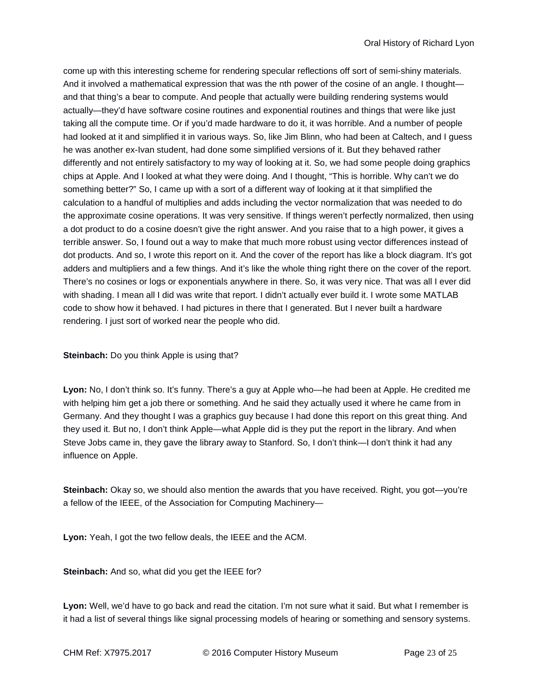come up with this interesting scheme for rendering specular reflections off sort of semi-shiny materials. And it involved a mathematical expression that was the nth power of the cosine of an angle. I thought and that thing's a bear to compute. And people that actually were building rendering systems would actually—they'd have software cosine routines and exponential routines and things that were like just taking all the compute time. Or if you'd made hardware to do it, it was horrible. And a number of people had looked at it and simplified it in various ways. So, like Jim Blinn, who had been at Caltech, and I guess he was another ex-Ivan student, had done some simplified versions of it. But they behaved rather differently and not entirely satisfactory to my way of looking at it. So, we had some people doing graphics chips at Apple. And I looked at what they were doing. And I thought, "This is horrible. Why can't we do something better?" So, I came up with a sort of a different way of looking at it that simplified the calculation to a handful of multiplies and adds including the vector normalization that was needed to do the approximate cosine operations. It was very sensitive. If things weren't perfectly normalized, then using a dot product to do a cosine doesn't give the right answer. And you raise that to a high power, it gives a terrible answer. So, I found out a way to make that much more robust using vector differences instead of dot products. And so, I wrote this report on it. And the cover of the report has like a block diagram. It's got adders and multipliers and a few things. And it's like the whole thing right there on the cover of the report. There's no cosines or logs or exponentials anywhere in there. So, it was very nice. That was all I ever did with shading. I mean all I did was write that report. I didn't actually ever build it. I wrote some MATLAB code to show how it behaved. I had pictures in there that I generated. But I never built a hardware rendering. I just sort of worked near the people who did.

# **Steinbach:** Do you think Apple is using that?

**Lyon:** No, I don't think so. It's funny. There's a guy at Apple who—he had been at Apple. He credited me with helping him get a job there or something. And he said they actually used it where he came from in Germany. And they thought I was a graphics guy because I had done this report on this great thing. And they used it. But no, I don't think Apple—what Apple did is they put the report in the library. And when Steve Jobs came in, they gave the library away to Stanford. So, I don't think—I don't think it had any influence on Apple.

**Steinbach:** Okay so, we should also mention the awards that you have received. Right, you got—you're a fellow of the IEEE, of the Association for Computing Machinery—

**Lyon:** Yeah, I got the two fellow deals, the IEEE and the ACM.

**Steinbach:** And so, what did you get the IEEE for?

**Lyon:** Well, we'd have to go back and read the citation. I'm not sure what it said. But what I remember is it had a list of several things like signal processing models of hearing or something and sensory systems.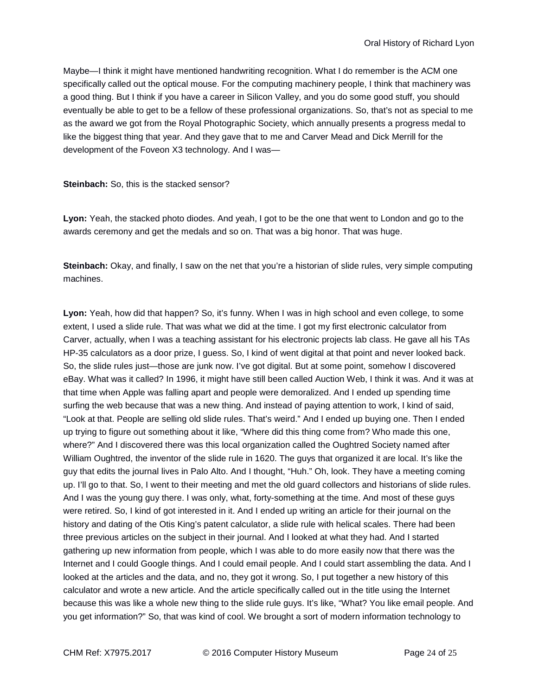Maybe—I think it might have mentioned handwriting recognition. What I do remember is the ACM one specifically called out the optical mouse. For the computing machinery people, I think that machinery was a good thing. But I think if you have a career in Silicon Valley, and you do some good stuff, you should eventually be able to get to be a fellow of these professional organizations. So, that's not as special to me as the award we got from the Royal Photographic Society, which annually presents a progress medal to like the biggest thing that year. And they gave that to me and Carver Mead and Dick Merrill for the development of the Foveon X3 technology. And I was—

# **Steinbach:** So, this is the stacked sensor?

**Lyon:** Yeah, the stacked photo diodes. And yeah, I got to be the one that went to London and go to the awards ceremony and get the medals and so on. That was a big honor. That was huge.

**Steinbach:** Okay, and finally, I saw on the net that you're a historian of slide rules, very simple computing machines.

**Lyon:** Yeah, how did that happen? So, it's funny. When I was in high school and even college, to some extent, I used a slide rule. That was what we did at the time. I got my first electronic calculator from Carver, actually, when I was a teaching assistant for his electronic projects lab class. He gave all his TAs HP-35 calculators as a door prize, I guess. So, I kind of went digital at that point and never looked back. So, the slide rules just—those are junk now. I've got digital. But at some point, somehow I discovered eBay. What was it called? In 1996, it might have still been called Auction Web, I think it was. And it was at that time when Apple was falling apart and people were demoralized. And I ended up spending time surfing the web because that was a new thing. And instead of paying attention to work, I kind of said, "Look at that. People are selling old slide rules. That's weird." And I ended up buying one. Then I ended up trying to figure out something about it like, "Where did this thing come from? Who made this one, where?" And I discovered there was this local organization called the Oughtred Society named after William Oughtred, the inventor of the slide rule in 1620. The guys that organized it are local. It's like the guy that edits the journal lives in Palo Alto. And I thought, "Huh." Oh, look. They have a meeting coming up. I'll go to that. So, I went to their meeting and met the old guard collectors and historians of slide rules. And I was the young guy there. I was only, what, forty-something at the time. And most of these guys were retired. So, I kind of got interested in it. And I ended up writing an article for their journal on the history and dating of the Otis King's patent calculator, a slide rule with helical scales. There had been three previous articles on the subject in their journal. And I looked at what they had. And I started gathering up new information from people, which I was able to do more easily now that there was the Internet and I could Google things. And I could email people. And I could start assembling the data. And I looked at the articles and the data, and no, they got it wrong. So, I put together a new history of this calculator and wrote a new article. And the article specifically called out in the title using the Internet because this was like a whole new thing to the slide rule guys. It's like, "What? You like email people. And you get information?" So, that was kind of cool. We brought a sort of modern information technology to